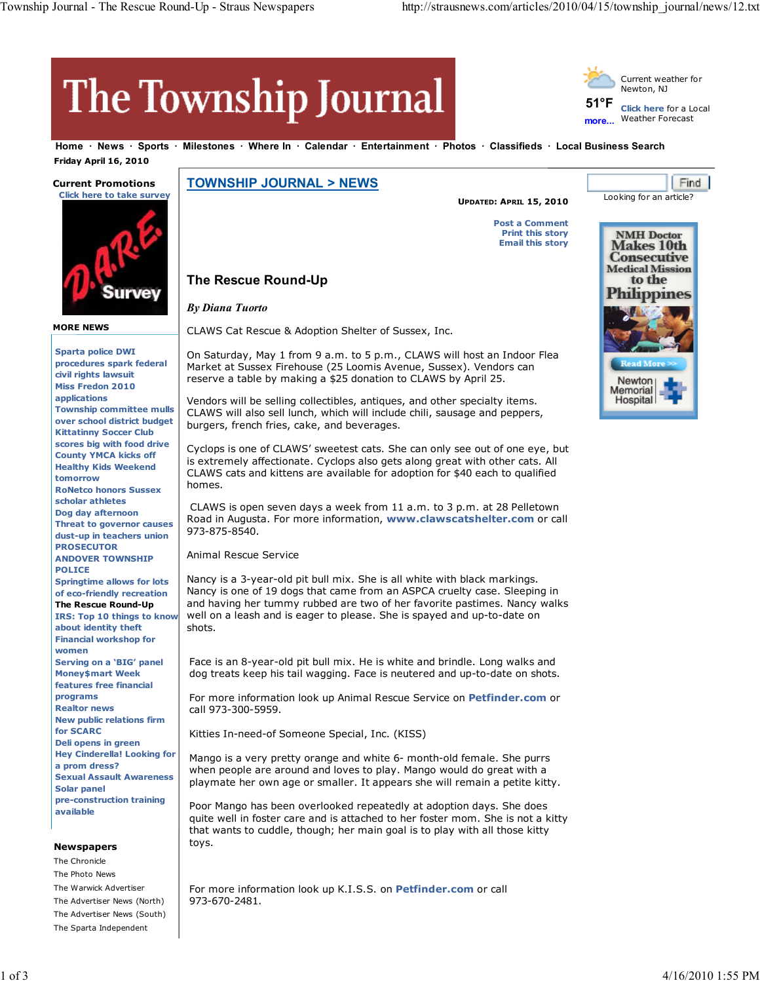**51°F more...**

# The Township Journal

**The Rescue Round-Up**

*By Diana Tuorto*

**Home News Sports Milestones Where In Calendar Entertainment Photos Classifieds Local Business Search**

 **Friday April 16, 2010**

## **Current Promotions**



**MORE NEWS**

**Sparta police DWI procedures spark federal civil rights lawsuit Miss Fredon 2010 applications Township committee mulls over school district budget Kittatinny Soccer Club scores big with food drive County YMCA kicks off Healthy Kids Weekend tomorrow RoNetco honors Sussex scholar athletes Dog day afternoon Threat to governor causes dust-up in teachers union PROSECUTOR ANDOVER TOWNSHIP POLICE Springtime allows for lots of eco-friendly recreation The Rescue Round-Up IRS: Top 10 things to know about identity theft Financial workshop for women Serving on a 'BIG' panel Money\$mart Week features free financial programs Realtor news New public relations firm for SCARC Deli opens in green Hey Cinderella! Looking for a prom dress? Sexual Assault Awareness Solar panel pre-construction training available**

#### **Newspapers**

The Chronicle The Photo News The Warwick Advertiser The Advertiser News (North) The Advertiser News (South) The Sparta Independent

**TOWNSHIP JOURNAL > NEWS**

CLAWS Cat Rescue & Adoption Shelter of Sussex, Inc.

burgers, french fries, cake, and beverages.

**UPDATED: APRIL 15, 2010**

**Post a Comment**

**Print this story Email this story**



Looking for an article?

Current weather for Newton, NJ

**Click here** for a Local Weather Forecast

**Find** 

Cyclops is one of CLAWS' sweetest cats. She can only see out of one eye, but is extremely affectionate. Cyclops also gets along great with other cats. All CLAWS cats and kittens are available for adoption for \$40 each to qualified homes.

On Saturday, May 1 from 9 a.m. to 5 p.m., CLAWS will host an Indoor Flea Market at Sussex Firehouse (25 Loomis Avenue, Sussex). Vendors can reserve a table by making a \$25 donation to CLAWS by April 25.

Vendors will be selling collectibles, antiques, and other specialty items. CLAWS will also sell lunch, which will include chili, sausage and peppers,

CLAWS is open seven days a week from 11 a.m. to 3 p.m. at 28 Pelletown Road in Augusta. For more information, **www.clawscatshelter.com** or call 973-875-8540.

Animal Rescue Service

Nancy is a 3-year-old pit bull mix. She is all white with black markings. Nancy is one of 19 dogs that came from an ASPCA cruelty case. Sleeping in and having her tummy rubbed are two of her favorite pastimes. Nancy walks well on a leash and is eager to please. She is spayed and up-to-date on shots.

Face is an 8-year-old pit bull mix. He is white and brindle. Long walks and dog treats keep his tail wagging. Face is neutered and up-to-date on shots.

For more information look up Animal Rescue Service on **Petfinder.com** or call 973-300-5959.

Kitties In-need-of Someone Special, Inc. (KISS)

Mango is a very pretty orange and white 6- month-old female. She purrs when people are around and loves to play. Mango would do great with a playmate her own age or smaller. It appears she will remain a petite kitty.

Poor Mango has been overlooked repeatedly at adoption days. She does quite well in foster care and is attached to her foster mom. She is not a kitty that wants to cuddle, though; her main goal is to play with all those kitty toys.

For more information look up K.I.S.S. on **Petfinder.com** or call 973-670-2481.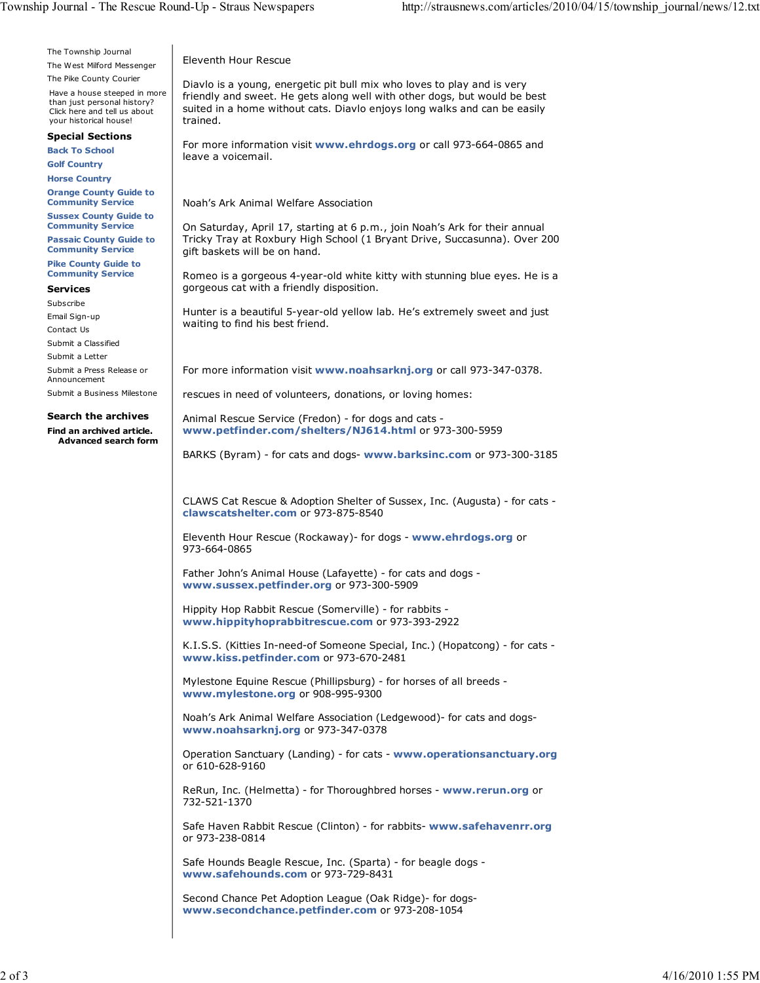The Township Journal The West Milford Messenger

The Pike County Courier

Have a house steeped in more than just personal history? Click here and tell us about your historical house!

#### **Special Sections**

**Back To School**

**Golf Country Horse Country**

**Orange County Guide to Community Service**

**Sussex County Guide to Community Service**

**Passaic County Guide to Community Service**

**Pike County Guide to Community Service**

### **Services**

Subscribe

Email Sign-up Contact Us

Submit a Classified

Submit a Letter

Submit a Press Release or Announcement

Submit a Business Milestone

#### **Search the archives**

**Find an archived article. Advanced search form** Eleventh Hour Rescue

Diavlo is a young, energetic pit bull mix who loves to play and is very friendly and sweet. He gets along well with other dogs, but would be best suited in a home without cats. Diavlo enjoys long walks and can be easily trained.

For more information visit **www.ehrdogs.org** or call 973-664-0865 and leave a voicemail.

Noah's Ark Animal Welfare Association

On Saturday, April 17, starting at 6 p.m., join Noah's Ark for their annual Tricky Tray at Roxbury High School (1 Bryant Drive, Succasunna). Over 200 gift baskets will be on hand.

Romeo is a gorgeous 4-year-old white kitty with stunning blue eyes. He is a gorgeous cat with a friendly disposition.

Hunter is a beautiful 5-year-old yellow lab. He's extremely sweet and just waiting to find his best friend.

For more information visit **www.noahsarknj.org** or call 973-347-0378.

rescues in need of volunteers, donations, or loving homes:

Animal Rescue Service (Fredon) - for dogs and cats **www.petfinder.com/shelters/NJ614.html** or 973-300-5959

BARKS (Byram) - for cats and dogs- **www.barksinc.com** or 973-300-3185

CLAWS Cat Rescue & Adoption Shelter of Sussex, Inc. (Augusta) - for cats **clawscatshelter.com** or 973-875-8540

Eleventh Hour Rescue (Rockaway)- for dogs - **www.ehrdogs.org** or 973-664-0865

Father John's Animal House (Lafayette) - for cats and dogs **www.sussex.petfinder.org** or 973-300-5909

Hippity Hop Rabbit Rescue (Somerville) - for rabbits **www.hippityhoprabbitrescue.com** or 973-393-2922

K.I.S.S. (Kitties In-need-of Someone Special, Inc.) (Hopatcong) - for cats **www.kiss.petfinder.com** or 973-670-2481

Mylestone Equine Rescue (Phillipsburg) - for horses of all breeds **www.mylestone.org** or 908-995-9300

Noah's Ark Animal Welfare Association (Ledgewood)- for cats and dogs**www.noahsarknj.org** or 973-347-0378

Operation Sanctuary (Landing) - for cats - **www.operationsanctuary.org** or 610-628-9160

ReRun, Inc. (Helmetta) - for Thoroughbred horses - **www.rerun.org** or 732-521-1370

Safe Haven Rabbit Rescue (Clinton) - for rabbits- **www.safehavenrr.org** or 973-238-0814

Safe Hounds Beagle Rescue, Inc. (Sparta) - for beagle dogs **www.safehounds.com** or 973-729-8431

Second Chance Pet Adoption League (Oak Ridge)- for dogs**www.secondchance.petfinder.com** or 973-208-1054